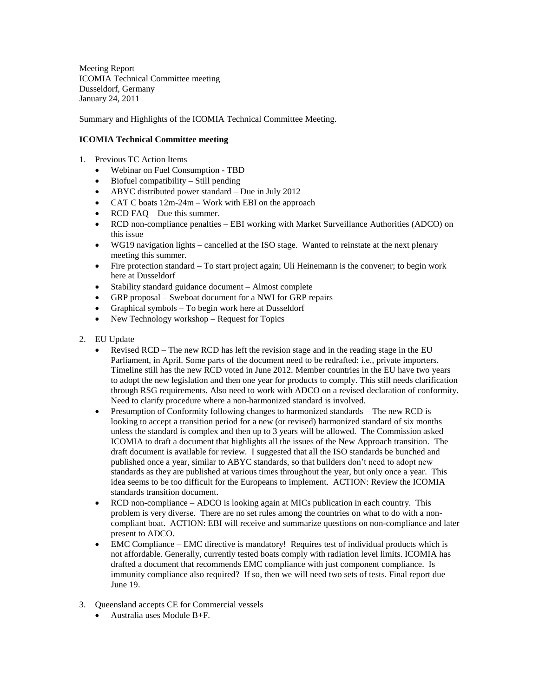Meeting Report ICOMIA Technical Committee meeting Dusseldorf, Germany January 24, 2011

Summary and Highlights of the ICOMIA Technical Committee Meeting.

## **ICOMIA Technical Committee meeting**

- 1. Previous TC Action Items
	- Webinar on Fuel Consumption TBD
	- Biofuel compatibility Still pending
	- ABYC distributed power standard Due in July 2012
	- CAT C boats  $12m-24m$  Work with EBI on the approach
	- RCD FAQ Due this summer.
	- RCD non-compliance penalties EBI working with Market Surveillance Authorities (ADCO) on this issue
	- WG19 navigation lights cancelled at the ISO stage. Wanted to reinstate at the next plenary meeting this summer.
	- Fire protection standard To start project again; Uli Heinemann is the convener; to begin work here at Dusseldorf
	- Stability standard guidance document Almost complete
	- GRP proposal Sweboat document for a NWI for GRP repairs
	- Graphical symbols To begin work here at Dusseldorf
	- New Technology workshop Request for Topics
- 2. EU Update
	- Revised RCD The new RCD has left the revision stage and in the reading stage in the EU Parliament, in April. Some parts of the document need to be redrafted: i.e., private importers. Timeline still has the new RCD voted in June 2012. Member countries in the EU have two years to adopt the new legislation and then one year for products to comply. This still needs clarification through RSG requirements. Also need to work with ADCO on a revised declaration of conformity. Need to clarify procedure where a non-harmonized standard is involved.
	- Presumption of Conformity following changes to harmonized standards The new RCD is looking to accept a transition period for a new (or revised) harmonized standard of six months unless the standard is complex and then up to 3 years will be allowed. The Commission asked ICOMIA to draft a document that highlights all the issues of the New Approach transition. The draft document is available for review. I suggested that all the ISO standards be bunched and published once a year, similar to ABYC standards, so that builders don't need to adopt new standards as they are published at various times throughout the year, but only once a year. This idea seems to be too difficult for the Europeans to implement. ACTION: Review the ICOMIA standards transition document.
	- RCD non-compliance ADCO is looking again at MICs publication in each country. This problem is very diverse. There are no set rules among the countries on what to do with a noncompliant boat. ACTION: EBI will receive and summarize questions on non-compliance and later present to ADCO.
	- EMC Compliance EMC directive is mandatory! Requires test of individual products which is not affordable. Generally, currently tested boats comply with radiation level limits. ICOMIA has drafted a document that recommends EMC compliance with just component compliance. Is immunity compliance also required? If so, then we will need two sets of tests. Final report due June 19.
- 3. Queensland accepts CE for Commercial vessels
	- Australia uses Module B+F.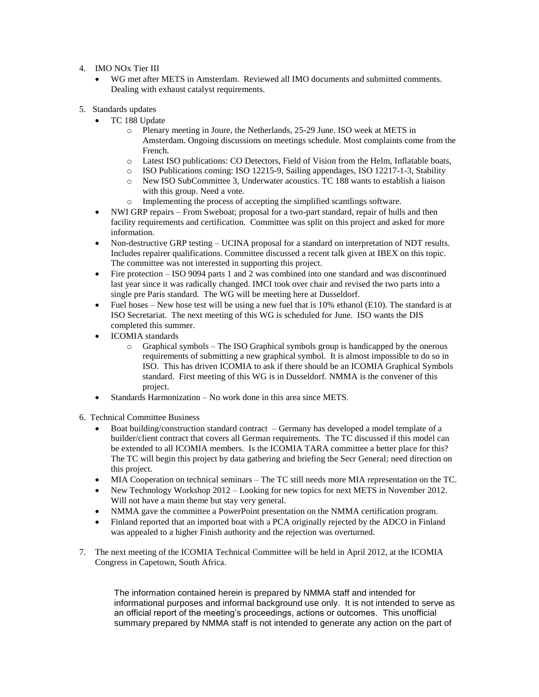- 4. IMO NOx Tier III
	- WG met after METS in Amsterdam. Reviewed all IMO documents and submitted comments. Dealing with exhaust catalyst requirements.
- 5. Standards updates
	- TC 188 Update
		- o Plenary meeting in Joure, the Netherlands, 25-29 June. ISO week at METS in Amsterdam. Ongoing discussions on meetings schedule. Most complaints come from the French.
		- o Latest ISO publications: CO Detectors, Field of Vision from the Helm, Inflatable boats,
		- o ISO Publications coming: ISO 12215-9, Sailing appendages, ISO 12217-1-3, Stability
		- o New ISO SubCommittee 3, Underwater acoustics. TC 188 wants to establish a liaison with this group. Need a vote.
		- o Implementing the process of accepting the simplified scantlings software.
	- NWI GRP repairs From Sweboat; proposal for a two-part standard, repair of hulls and then facility requirements and certification. Committee was split on this project and asked for more information.
	- Non-destructive GRP testing UCINA proposal for a standard on interpretation of NDT results. Includes repairer qualifications. Committee discussed a recent talk given at IBEX on this topic. The committee was not interested in supporting this project.
	- Fire protection ISO 9094 parts 1 and 2 was combined into one standard and was discontinued last year since it was radically changed. IMCI took over chair and revised the two parts into a single pre Paris standard. The WG will be meeting here at Dusseldorf.
	- Fuel hoses New hose test will be using a new fuel that is  $10\%$  ethanol (E10). The standard is at ISO Secretariat. The next meeting of this WG is scheduled for June. ISO wants the DIS completed this summer.
	- ICOMIA standards
		- $\circ$  Graphical symbols The ISO Graphical symbols group is handicapped by the onerous requirements of submitting a new graphical symbol. It is almost impossible to do so in ISO. This has driven ICOMIA to ask if there should be an ICOMIA Graphical Symbols standard. First meeting of this WG is in Dusseldorf. NMMA is the convener of this project.
	- Standards Harmonization No work done in this area since METS.
- 6. Technical Committee Business
	- Boat building/construction standard contract Germany has developed a model template of a builder/client contract that covers all German requirements. The TC discussed if this model can be extended to all ICOMIA members. Is the ICOMIA TARA committee a better place for this? The TC will begin this project by data gathering and briefing the Secr General; need direction on this project.
	- MIA Cooperation on technical seminars The TC still needs more MIA representation on the TC.
	- New Technology Workshop 2012 Looking for new topics for next METS in November 2012. Will not have a main theme but stay very general.
	- NMMA gave the committee a PowerPoint presentation on the NMMA certification program.
	- Finland reported that an imported boat with a PCA originally rejected by the ADCO in Finland was appealed to a higher Finish authority and the rejection was overturned.
- 7. The next meeting of the ICOMIA Technical Committee will be held in April 2012, at the ICOMIA Congress in Capetown, South Africa.

The information contained herein is prepared by NMMA staff and intended for informational purposes and informal background use only. It is not intended to serve as an official report of the meeting's proceedings, actions or outcomes. This unofficial summary prepared by NMMA staff is not intended to generate any action on the part of